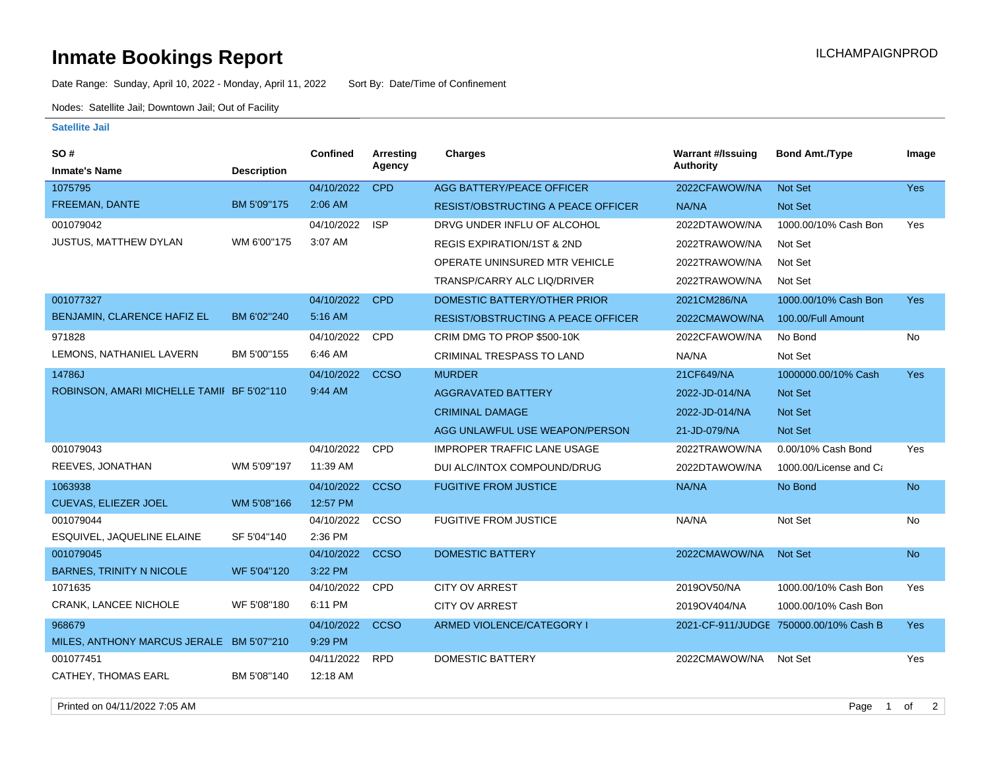## **Inmate Bookings Report Installation ILCHAMPAIGNPROD**

Date Range: Sunday, April 10, 2022 - Monday, April 11, 2022 Sort By: Date/Time of Confinement

Nodes: Satellite Jail; Downtown Jail; Out of Facility

## **Satellite Jail**

| SO#                                        |                    | Confined   | Arresting   | <b>Charges</b>                            | <b>Warrant #/Issuing</b> | <b>Bond Amt./Type</b>                  | Image      |
|--------------------------------------------|--------------------|------------|-------------|-------------------------------------------|--------------------------|----------------------------------------|------------|
| <b>Inmate's Name</b>                       | <b>Description</b> |            | Agency      |                                           | Authority                |                                        |            |
| 1075795                                    |                    | 04/10/2022 | <b>CPD</b>  | AGG BATTERY/PEACE OFFICER                 | 2022CFAWOW/NA            | Not Set                                | Yes        |
| FREEMAN, DANTE                             | BM 5'09"175        | $2:06$ AM  |             | <b>RESIST/OBSTRUCTING A PEACE OFFICER</b> | NA/NA                    | <b>Not Set</b>                         |            |
| 001079042                                  |                    | 04/10/2022 | <b>ISP</b>  | DRVG UNDER INFLU OF ALCOHOL               | 2022DTAWOW/NA            | 1000.00/10% Cash Bon                   | Yes        |
| <b>JUSTUS, MATTHEW DYLAN</b>               | WM 6'00"175        | 3:07 AM    |             | <b>REGIS EXPIRATION/1ST &amp; 2ND</b>     | 2022TRAWOW/NA            | Not Set                                |            |
|                                            |                    |            |             | OPERATE UNINSURED MTR VEHICLE             | 2022TRAWOW/NA            | Not Set                                |            |
|                                            |                    |            |             | TRANSP/CARRY ALC LIQ/DRIVER               | 2022TRAWOW/NA            | Not Set                                |            |
| 001077327                                  |                    | 04/10/2022 | <b>CPD</b>  | DOMESTIC BATTERY/OTHER PRIOR              | 2021CM286/NA             | 1000.00/10% Cash Bon                   | Yes        |
| BENJAMIN, CLARENCE HAFIZ EL                | BM 6'02"240        | 5:16 AM    |             | <b>RESIST/OBSTRUCTING A PEACE OFFICER</b> | 2022CMAWOW/NA            | 100.00/Full Amount                     |            |
| 971828                                     |                    | 04/10/2022 | <b>CPD</b>  | CRIM DMG TO PROP \$500-10K                | 2022CFAWOW/NA            | No Bond                                | No         |
| LEMONS, NATHANIEL LAVERN                   | BM 5'00"155        | 6:46 AM    |             | CRIMINAL TRESPASS TO LAND                 | NA/NA                    | Not Set                                |            |
| 14786J                                     |                    | 04/10/2022 | <b>CCSO</b> | <b>MURDER</b>                             | 21CF649/NA               | 1000000.00/10% Cash                    | <b>Yes</b> |
| ROBINSON, AMARI MICHELLE TAMII BF 5'02"110 |                    | 9:44 AM    |             | <b>AGGRAVATED BATTERY</b>                 | 2022-JD-014/NA           | <b>Not Set</b>                         |            |
|                                            |                    |            |             | <b>CRIMINAL DAMAGE</b>                    | 2022-JD-014/NA           | <b>Not Set</b>                         |            |
|                                            |                    |            |             | AGG UNLAWFUL USE WEAPON/PERSON            | 21-JD-079/NA             | Not Set                                |            |
| 001079043                                  |                    | 04/10/2022 | <b>CPD</b>  | <b>IMPROPER TRAFFIC LANE USAGE</b>        | 2022TRAWOW/NA            | 0.00/10% Cash Bond                     | Yes        |
| REEVES, JONATHAN                           | WM 5'09"197        | 11:39 AM   |             | DUI ALC/INTOX COMPOUND/DRUG               | 2022DTAWOW/NA            | 1000.00/License and Ca                 |            |
| 1063938                                    |                    | 04/10/2022 | <b>CCSO</b> | <b>FUGITIVE FROM JUSTICE</b>              | NA/NA                    | No Bond                                | <b>No</b>  |
| <b>CUEVAS, ELIEZER JOEL</b>                | WM 5'08"166        | 12:57 PM   |             |                                           |                          |                                        |            |
| 001079044                                  |                    | 04/10/2022 | CCSO        | <b>FUGITIVE FROM JUSTICE</b>              | NA/NA                    | Not Set                                | No         |
| ESQUIVEL, JAQUELINE ELAINE                 | SF 5'04"140        | 2:36 PM    |             |                                           |                          |                                        |            |
| 001079045                                  |                    | 04/10/2022 | <b>CCSO</b> | <b>DOMESTIC BATTERY</b>                   | 2022CMAWOW/NA            | Not Set                                | <b>No</b>  |
| <b>BARNES, TRINITY N NICOLE</b>            | WF 5'04"120        | 3:22 PM    |             |                                           |                          |                                        |            |
| 1071635                                    |                    | 04/10/2022 | <b>CPD</b>  | <b>CITY OV ARREST</b>                     | 2019OV50/NA              | 1000.00/10% Cash Bon                   | Yes        |
| CRANK, LANCEE NICHOLE                      | WF 5'08"180        | 6:11 PM    |             | <b>CITY OV ARREST</b>                     | 2019OV404/NA             | 1000.00/10% Cash Bon                   |            |
| 968679                                     |                    | 04/10/2022 | <b>CCSO</b> | ARMED VIOLENCE/CATEGORY I                 |                          | 2021-CF-911/JUDGE 750000.00/10% Cash B | <b>Yes</b> |
| MILES, ANTHONY MARCUS JERALE BM 5'07"210   |                    | 9:29 PM    |             |                                           |                          |                                        |            |
| 001077451                                  |                    | 04/11/2022 | <b>RPD</b>  | <b>DOMESTIC BATTERY</b>                   | 2022CMAWOW/NA            | Not Set                                | Yes        |
| <b>CATHEY, THOMAS EARL</b>                 | BM 5'08"140        | 12:18 AM   |             |                                           |                          |                                        |            |

Printed on 04/11/2022 7:05 AM Page 1 of 2